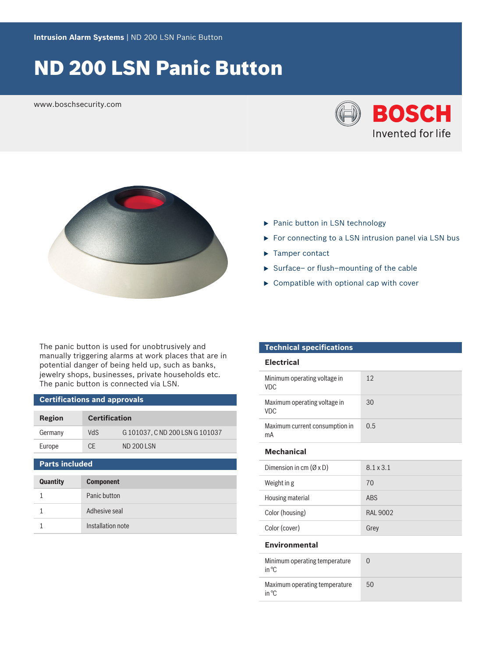# ND 200 LSN Panic Button

www.boschsecurity.com





- $\blacktriangleright$  Panic button in LSN technology
- $\blacktriangleright$  For connecting to a LSN intrusion panel via LSN bus
- $\blacktriangleright$  Tamper contact
- $\triangleright$  Surface– or flush–mounting of the cable
- $\triangleright$  Compatible with optional cap with cover

The panic button is used for unobtrusively and manually triggering alarms at work places that are in potential danger of being held up, such as banks, jewelry shops, businesses, private households etc. The panic button is connected via LSN.

#### **Certifications and approvals**

| Region  | <b>Certification</b> |                              |
|---------|----------------------|------------------------------|
| Germany | VdS                  | G101037, CND 200 LSN G101037 |
| Europe  | CF                   | ND 2001 SN                   |

### **Parts included**

| <b>Quantity</b> | <b>Component</b>  |
|-----------------|-------------------|
|                 | Panic button      |
|                 | Adhesive seal     |
|                 | Installation note |

#### **Technical specifications**

#### **Electrical**

| Minimum operating voltage in<br><b>VDC</b> | 12  |
|--------------------------------------------|-----|
| Maximum operating voltage in<br><b>VDC</b> | 30  |
| Maximum current consumption in<br>mA       | 0.5 |

#### **Mechanical**

| Dimension in cm $(\emptyset \times D)$ | 8.1 x 3.1       |
|----------------------------------------|-----------------|
| Weight in g                            | 70              |
| Housing material                       | <b>ABS</b>      |
| Color (housing)                        | <b>RAI 9002</b> |
| Color (cover)                          | Grey            |

#### **Environmental**

| Minimum operating temperature<br>in ${}^{\circ}C$ |    |
|---------------------------------------------------|----|
| Maximum operating temperature<br>in ${}^{\circ}C$ | 50 |